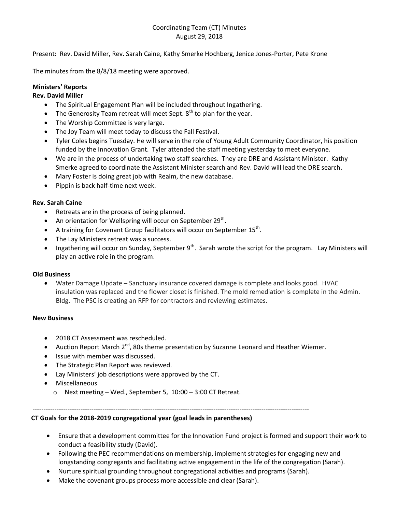# Coordinating Team (CT) Minutes August 29, 2018

Present: Rev. David Miller, Rev. Sarah Caine, Kathy Smerke Hochberg, Jenice Jones-Porter, Pete Krone

The minutes from the 8/8/18 meeting were approved.

# **Ministers' Reports**

## **Rev. David Miller**

- The Spiritual Engagement Plan will be included throughout Ingathering.
- The Generosity Team retreat will meet Sept.  $8<sup>th</sup>$  to plan for the year.
- The Worship Committee is very large.
- The Joy Team will meet today to discuss the Fall Festival.
- Tyler Coles begins Tuesday. He will serve in the role of Young Adult Community Coordinator, his position funded by the Innovation Grant. Tyler attended the staff meeting yesterday to meet everyone.
- We are in the process of undertaking two staff searches. They are DRE and Assistant Minister. Kathy Smerke agreed to coordinate the Assistant Minister search and Rev. David will lead the DRE search.
- Mary Foster is doing great job with Realm, the new database.
- Pippin is back half-time next week.

### **Rev. Sarah Caine**

- Retreats are in the process of being planned.
- An orientation for Wellspring will occur on September 29<sup>th</sup>.
- $\bullet$  A training for Covenant Group facilitators will occur on September 15<sup>th</sup>.
- The Lay Ministers retreat was a success.
- Ingathering will occur on Sunday, September  $9^{th}$ . Sarah wrote the script for the program. Lay Ministers will play an active role in the program.

### **Old Business**

 Water Damage Update – Sanctuary insurance covered damage is complete and looks good. HVAC insulation was replaced and the flower closet is finished. The mold remediation is complete in the Admin. Bldg. The PSC is creating an RFP for contractors and reviewing estimates.

### **New Business**

- 2018 CT Assessment was rescheduled.
- Auction Report March 2<sup>nd</sup>, 80s theme presentation by Suzanne Leonard and Heather Wiemer.
- Issue with member was discussed.
- The Strategic Plan Report was reviewed.
- Lay Ministers' job descriptions were approved by the CT.
- Miscellaneous
	- o Next meeting Wed., September 5, 10:00 3:00 CT Retreat.

**-------------------------------------------------------------------------------------------------------------------------------**

## **CT Goals for the 2018-2019 congregational year (goal leads in parentheses)**

- Ensure that a development committee for the Innovation Fund project is formed and support their work to conduct a feasibility study (David).
- Following the PEC recommendations on membership, implement strategies for engaging new and longstanding congregants and facilitating active engagement in the life of the congregation (Sarah).
- Nurture spiritual grounding throughout congregational activities and programs (Sarah).
- Make the covenant groups process more accessible and clear (Sarah).